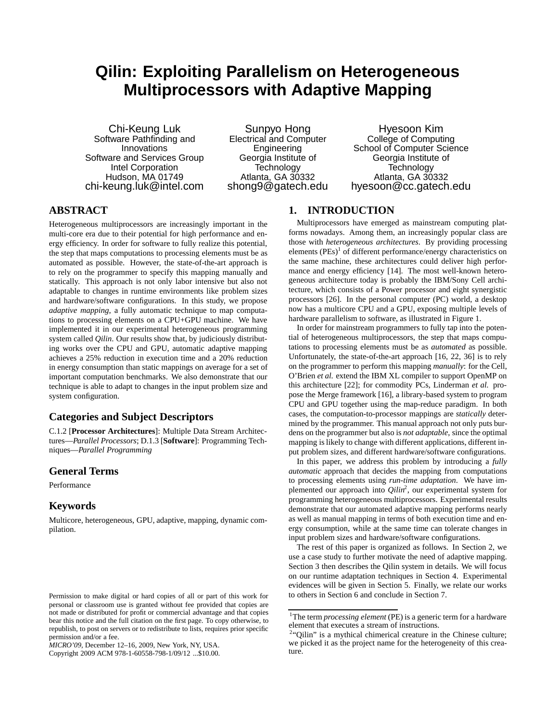# **Qilin: Exploiting Parallelism on Heterogeneous Multiprocessors with Adaptive Mapping**

Chi-Keung Luk Software Pathfinding and Innovations Software and Services Group Intel Corporation Hudson, MA 01749 chi-keung.luk@intel.com

Sunpyo Hong Electrical and Computer Engineering Georgia Institute of **Technology** Atlanta, GA 30332 shong9@gatech.edu

Hyesoon Kim College of Computing School of Computer Science Georgia Institute of Technology Atlanta, GA 30332 hyesoon@cc.gatech.edu

# **ABSTRACT**

Heterogeneous multiprocessors are increasingly important in the multi-core era due to their potential for high performance and energy efficiency. In order for software to fully realize this potential, the step that maps computations to processing elements must be as automated as possible. However, the state-of-the-art approach is to rely on the programmer to specify this mapping manually and statically. This approach is not only labor intensive but also not adaptable to changes in runtime environments like problem sizes and hardware/software configurations. In this study, we propose *adaptive mapping*, a fully automatic technique to map computations to processing elements on a CPU+GPU machine. We have implemented it in our experimental heterogeneous programming system called *Qilin*. Our results show that, by judiciously distributing works over the CPU and GPU, automatic adaptive mapping achieves a 25% reduction in execution time and a 20% reduction in energy consumption than static mappings on average for a set of important computation benchmarks. We also demonstrate that our technique is able to adapt to changes in the input problem size and system configuration.

# **Categories and Subject Descriptors**

C.1.2 [**Processor Architectures**]: Multiple Data Stream Architectures—*Parallel Processors*; D.1.3 [**Software**]: Programming Techniques—*Parallel Programming*

# **General Terms**

Performance

# **Keywords**

Multicore, heterogeneous, GPU, adaptive, mapping, dynamic compilation.

## **1. INTRODUCTION**

Multiprocessors have emerged as mainstream computing platforms nowadays. Among them, an increasingly popular class are those with *heterogeneous architectures*. By providing processing elements  $(PEs)^1$  of different performance/energy characteristics on the same machine, these architectures could deliver high performance and energy efficiency [14]. The most well-known heterogeneous architecture today is probably the IBM/Sony Cell architecture, which consists of a Power processor and eight synergistic processors [26]. In the personal computer (PC) world, a desktop now has a multicore CPU and a GPU, exposing multiple levels of hardware parallelism to software, as illustrated in Figure 1.

In order for mainstream programmers to fully tap into the potential of heterogeneous multiprocessors, the step that maps computations to processing elements must be as *automated* as possible. Unfortunately, the state-of-the-art approach [16, 22, 36] is to rely on the programmer to perform this mapping *manually*: for the Cell, O'Brien *et al.* extend the IBM XL compiler to support OpenMP on this architecture [22]; for commodity PCs, Linderman *et al.* propose the Merge framework [16], a library-based system to program CPU and GPU together using the map-reduce paradigm. In both cases, the computation-to-processor mappings are *statically* determined by the programmer. This manual approach not only puts burdens on the programmer but also is *not adaptable*, since the optimal mapping is likely to change with different applications, different input problem sizes, and different hardware/software configurations.

In this paper, we address this problem by introducing a *fully automatic* approach that decides the mapping from computations to processing elements using *run-time adaptation*. We have implemented our approach into *Qilin*<sup>2</sup> , our experimental system for programming heterogeneous multiprocessors. Experimental results demonstrate that our automated adaptive mapping performs nearly as well as manual mapping in terms of both execution time and energy consumption, while at the same time can tolerate changes in input problem sizes and hardware/software configurations.

The rest of this paper is organized as follows. In Section 2, we use a case study to further motivate the need of adaptive mapping. Section 3 then describes the Qilin system in details. We will focus on our runtime adaptation techniques in Section 4. Experimental evidences will be given in Section 5. Finally, we relate our works to others in Section 6 and conclude in Section 7.

Permission to make digital or hard copies of all or part of this work for personal or classroom use is granted without fee provided that copies are not made or distributed for profit or commercial advantage and that copies bear this notice and the full citation on the first page. To copy otherwise, to republish, to post on servers or to redistribute to lists, requires prior specific permission and/or a fee.

*MICRO'09,* December 12–16, 2009, New York, NY, USA.

Copyright 2009 ACM 978-1-60558-798-1/09/12 ...\$10.00.

<sup>&</sup>lt;sup>1</sup>The term *processing element* (PE) is a generic term for a hardware element that executes a stream of instructions.

<sup>&</sup>lt;sup>2</sup>"Qilin" is a mythical chimerical creature in the Chinese culture; we picked it as the project name for the heterogeneity of this creature.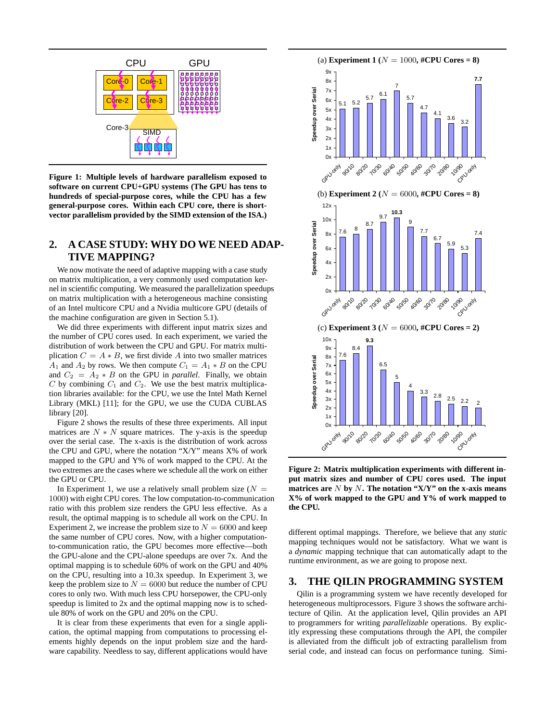

**Figure 1: Multiple levels of hardware parallelism exposed to software on current CPU+GPU systems (The GPU has tens to hundreds of special-purpose cores, while the CPU has a few general-purpose cores. Within each CPU core, there is shortvector parallelism provided by the SIMD extension of the ISA.)**

# **2. A CASE STUDY: WHY DO WE NEED ADAP-TIVE MAPPING?**

We now motivate the need of adaptive mapping with a case study on matrix multiplication, a very commonly used computation kernel in scientific computing. We measured the parallelization speedups on matrix multiplication with a heterogeneous machine consisting of an Intel multicore CPU and a Nvidia multicore GPU (details of the machine configuration are given in Section 5.1).

We did three experiments with different input matrix sizes and the number of CPU cores used. In each experiment, we varied the distribution of work between the CPU and GPU. For matrix multiplication  $C = A * B$ , we first divide A into two smaller matrices  $A_1$  and  $A_2$  by rows. We then compute  $C_1 = A_1 * B$  on the CPU and  $C_2 = A_2 * B$  on the GPU in *parallel*. Finally, we obtain C by combining  $C_1$  and  $C_2$ . We use the best matrix multiplication libraries available: for the CPU, we use the Intel Math Kernel Library (MKL) [11]; for the GPU, we use the CUDA CUBLAS library [20].

Figure 2 shows the results of these three experiments. All input matrices are  $N * N$  square matrices. The y-axis is the speedup over the serial case. The x-axis is the distribution of work across the CPU and GPU, where the notation "X/Y" means X% of work mapped to the GPU and Y% of work mapped to the CPU. At the two extremes are the cases where we schedule all the work on either the GPU or CPU.

In Experiment 1, we use a relatively small problem size  $(N =$ 1000) with eight CPU cores. The low computation-to-communication ratio with this problem size renders the GPU less effective. As a result, the optimal mapping is to schedule all work on the CPU. In Experiment 2, we increase the problem size to  $N = 6000$  and keep the same number of CPU cores. Now, with a higher computationto-communication ratio, the GPU becomes more effective—both the GPU-alone and the CPU-alone speedups are over 7x. And the optimal mapping is to schedule 60% of work on the GPU and 40% on the CPU, resulting into a 10.3x speedup. In Experiment 3, we keep the problem size to  $N = 6000$  but reduce the number of CPU cores to only two. With much less CPU horsepower, the CPU-only speedup is limited to 2x and the optimal mapping now is to schedule 80% of work on the GPU and 20% on the CPU.

It is clear from these experiments that even for a single application, the optimal mapping from computations to processing elements highly depends on the input problem size and the hardware capability. Needless to say, different applications would have



**Figure 2: Matrix multiplication experiments with different input matrix sizes and number of CPU cores used. The input matrices are** N **by** N**. The notation "X/Y" on the x-axis means X% of work mapped to the GPU and Y% of work mapped to the CPU.**

different optimal mappings. Therefore, we believe that any *static* mapping techniques would not be satisfactory. What we want is a *dynamic* mapping technique that can automatically adapt to the runtime environment, as we are going to propose next.

# **3. THE QILIN PROGRAMMING SYSTEM**

Qilin is a programming system we have recently developed for heterogeneous multiprocessors. Figure 3 shows the software architecture of Qilin. At the application level, Qilin provides an API to programmers for writing *parallelizable* operations. By explicitly expressing these computations through the API, the compiler is alleviated from the difficult job of extracting parallelism from serial code, and instead can focus on performance tuning. Simi-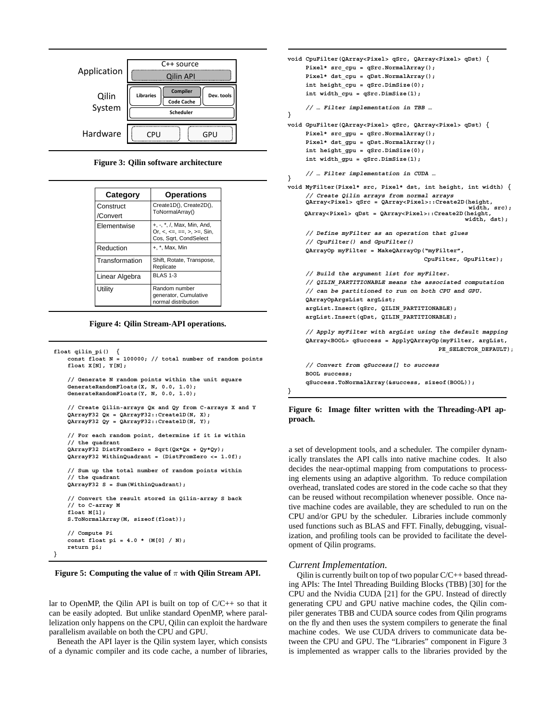

**}**

**}** 

**Figure 3: Qilin software architecture**

| Category              | <b>Operations</b>                                                                                     |  |  |  |  |
|-----------------------|-------------------------------------------------------------------------------------------------------|--|--|--|--|
| Construct<br>/Convert | Create1D(), Create2D(),<br>ToNormalArray()                                                            |  |  |  |  |
| Elementwise           | +, -, *, /, Max, Min, And,<br>Or, $\lt$ , $\lt$ =, ==, $\gt$ , $\gt$ =, Sin,<br>Cos, Sqrt, CondSelect |  |  |  |  |
| Reduction             | +, *, Max, Min                                                                                        |  |  |  |  |
| Transformation        | Shift, Rotate, Transpose,<br>Replicate                                                                |  |  |  |  |
| Linear Algebra        | <b>BLAS 1-3</b>                                                                                       |  |  |  |  |
| Utility               | Random number<br>generator, Cumulative<br>normal distribution                                         |  |  |  |  |

**Figure 4: Qilin Stream-API operations.**

```
float qilin_pi() {
const float N = 100000; // total number of random points 
   float X[N], Y[N];
   // Generate N random points within the unit square
   GenerateRandomFloats(X, N, 0.0, 1.0);
   GenerateRandomFloats(Y, N, 0.0, 1.0);
```

```
// Create Qilin-arrays Qx and Qy from C-arrays X and Y
QArrayF32 Qx = QArrayF32::Create1D(N, X);
QArrayF32 Qy = QArrayF32::Create1D(N, Y);
```

```
// For each random point, determine if it is within 
// the quadrant 
QArrayF32 DistFromZero = Sqrt(Qx*Qx + Qy*Qy);
```
**QArrayF32 WithinQuadrant = (DistFromZero <= 1.0f);**

**// Sum up the total number of random points within // the quadrant QArrayF32 S = Sum(WithinQuadrant);**

```
// Convert the result stored in Qilin-array S back 
// to C-array M 
float M[1];
S.ToNormalArray(M, sizeof(float)); 
// Compute Pi 
const float pi = 4.0 * (M[0] / N);
return pi;
```

```
}
```
**Figure 5: Computing the value of** π **with Qilin Stream API.**

lar to OpenMP, the Qilin API is built on top of  $C/C++$  so that it can be easily adopted. But unlike standard OpenMP, where parallelization only happens on the CPU, Qilin can exploit the hardware parallelism available on both the CPU and GPU.

Beneath the API layer is the Qilin system layer, which consists of a dynamic compiler and its code cache, a number of libraries,

```
void CpuFilter(QArray<Pixel> qSrc, QArray<Pixel> qDst) {
     Pixel* src_cpu = qSrc.NormalArray();
     Pixel* dst_cpu = qDst.NormalArray();
     int height_cpu = qSrc.DimSize(0);
     int width_cpu = qSrc.DimSize(1);
     // … Filter implementation in TBB …
void GpuFilter(QArray<Pixel> qSrc, QArray<Pixel> qDst) {
     Pixel* src_gpu = qSrc.NormalArray();
     Pixel* dst_gpu = qDst.NormalArray();
     int height_gpu = qSrc.DimSize(0);
     int width_gpu = qSrc.DimSize(1);
// … Filter implementation in CUDA … }
void MyFilter(Pixel* src, Pixel* dst, int height, int width) {
     // Create Qilin arrays from normal arrays
     QArray<Pixel> qSrc = QArray<Pixel>::Create2D(height, 
width, src);
     QArray<Pixel> qDst = QArray<Pixel>::Create2D(height, 
width, dst);
     // Define myFilter as an operation that glues 
     // CpuFilter() and GpuFilter()
     QArrayOp myFilter = MakeQArrayOp("myFilter", 
                                       CpuFilter, GpuFilter);
     // Build the argument list for myFilter. 
     // QILIN_PARTITIONABLE means the associated computation 
     // can be partitioned to run on both CPU and GPU.
     QArrayOpArgsList argList;
     argList.Insert(qSrc, QILIN_PARTITIONABLE);
     argList.Insert(qDst, QILIN_PARTITIONABLE);
     // Apply myFilter with argList using the default mapping
     QArray<BOOL> qSuccess = ApplyQArrayOp(myFilter, argList, 
                                          PE_SELECTOR_DEFAULT);
     // Convert from qSuccess[] to success
```
**BOOL success; qSuccess.ToNormalArray(&success, sizeof(BOOL));** 

#### **Figure 6: Image filter written with the Threading-API approach.**

a set of development tools, and a scheduler. The compiler dynamically translates the API calls into native machine codes. It also decides the near-optimal mapping from computations to processing elements using an adaptive algorithm. To reduce compilation overhead, translated codes are stored in the code cache so that they can be reused without recompilation whenever possible. Once native machine codes are available, they are scheduled to run on the CPU and/or GPU by the scheduler. Libraries include commonly used functions such as BLAS and FFT. Finally, debugging, visualization, and profiling tools can be provided to facilitate the development of Qilin programs.

#### *Current Implementation.*

Qilin is currently built on top of two popular C/C++ based threading APIs: The Intel Threading Building Blocks (TBB) [30] for the CPU and the Nvidia CUDA [21] for the GPU. Instead of directly generating CPU and GPU native machine codes, the Qilin compiler generates TBB and CUDA source codes from Qilin programs on the fly and then uses the system compilers to generate the final machine codes. We use CUDA drivers to communicate data between the CPU and GPU. The "Libraries" component in Figure 3 is implemented as wrapper calls to the libraries provided by the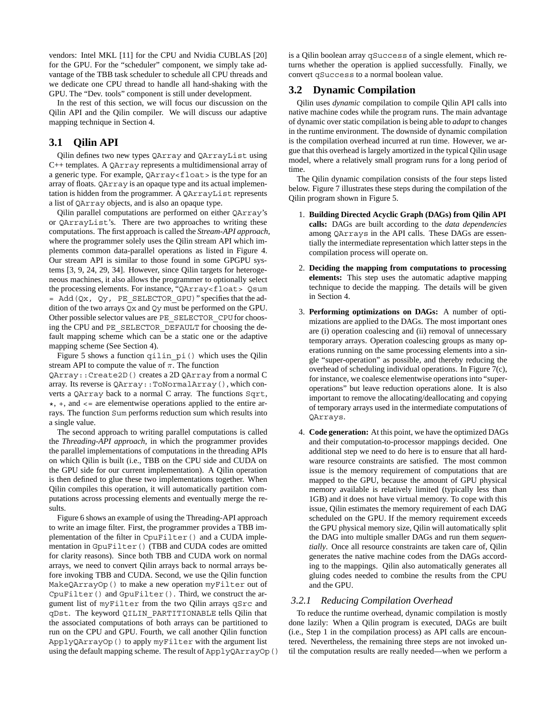vendors: Intel MKL [11] for the CPU and Nvidia CUBLAS [20] for the GPU. For the "scheduler" component, we simply take advantage of the TBB task scheduler to schedule all CPU threads and we dedicate one CPU thread to handle all hand-shaking with the GPU. The "Dev. tools" component is still under development.

In the rest of this section, we will focus our discussion on the Qilin API and the Qilin compiler. We will discuss our adaptive mapping technique in Section 4.

# **3.1 Qilin API**

Qilin defines two new types QArray and QArrayList using C++ templates. A QArray represents a multidimensional array of a generic type. For example, QArray<float> is the type for an array of floats. QArray is an opaque type and its actual implementation is hidden from the programmer. A QArrayList represents a list of QArray objects, and is also an opaque type.

Qilin parallel computations are performed on either QArray's or QArrayList's. There are two approaches to writing these computations. The first approach is called the *Stream-API approach*, where the programmer solely uses the Qilin stream API which implements common data-parallel operations as listed in Figure 4. Our stream API is similar to those found in some GPGPU systems [3, 9, 24, 29, 34]. However, since Qilin targets for heterogeneous machines, it also allows the programmer to optionally select the processing elements. For instance, "QArray<float> Qsum  $=$  Add(Qx, Qy, PE\_SELECTOR\_GPU)" specifies that the addition of the two arrays Qx and Qy must be performed on the GPU. Other possible selector values are PE\_SELECTOR\_CPU for choosing the CPU and PE\_SELECTOR\_DEFAULT for choosing the default mapping scheme which can be a static one or the adaptive mapping scheme (See Section 4).

Figure 5 shows a function qilin\_pi() which uses the Qilin stream API to compute the value of  $\pi$ . The function QArray::Create2D() creates a 2D QArray from a normal C array. Its reverse is QArray::ToNormalArray(), which converts a QArray back to a normal C array. The functions Sqrt,

 $\star$ ,  $\star$ , and  $\lt$  = are elementwise operations applied to the entire arrays. The function Sum performs reduction sum which results into a single value.

The second approach to writing parallel computations is called the *Threading-API approach*, in which the programmer provides the parallel implementations of computations in the threading APIs on which Qilin is built (i.e., TBB on the CPU side and CUDA on the GPU side for our current implementation). A Qilin operation is then defined to glue these two implementations together. When Qilin compiles this operation, it will automatically partition computations across processing elements and eventually merge the results.

Figure 6 shows an example of using the Threading-API approach to write an image filter. First, the programmer provides a TBB implementation of the filter in CpuFilter() and a CUDA implementation in GpuFilter() (TBB and CUDA codes are omitted for clarity reasons). Since both TBB and CUDA work on normal arrays, we need to convert Qilin arrays back to normal arrays before invoking TBB and CUDA. Second, we use the Qilin function MakeQArrayOp() to make a new operation myFilter out of CpuFilter() and GpuFilter(). Third, we construct the argument list of myFilter from the two Qilin arrays qSrc and qDst. The keyword QILIN\_PARTITIONABLE tells Qilin that the associated computations of both arrays can be partitioned to run on the CPU and GPU. Fourth, we call another Qilin function ApplyQArrayOp() to apply myFilter with the argument list using the default mapping scheme. The result of ApplyQArrayOp() is a Qilin boolean array qSuccess of a single element, which returns whether the operation is applied successfully. Finally, we convert qSuccess to a normal boolean value.

# **3.2 Dynamic Compilation**

Qilin uses *dynamic* compilation to compile Qilin API calls into native machine codes while the program runs. The main advantage of dynamic over static compilation is being able to *adapt* to changes in the runtime environment. The downside of dynamic compilation is the compilation overhead incurred at run time. However, we argue that this overhead is largely amortized in the typical Qilin usage model, where a relatively small program runs for a long period of time.

The Qilin dynamic compilation consists of the four steps listed below. Figure 7 illustrates these steps during the compilation of the Qilin program shown in Figure 5.

- 1. **Building Directed Acyclic Graph (DAGs) from Qilin API calls:** DAGs are built according to the *data dependencies* among QArrays in the API calls. These DAGs are essentially the intermediate representation which latter steps in the compilation process will operate on.
- 2. **Deciding the mapping from computations to processing elements:** This step uses the automatic adaptive mapping technique to decide the mapping. The details will be given in Section 4.
- 3. **Performing optimizations on DAGs:** A number of optimizations are applied to the DAGs. The most important ones are (i) operation coalescing and (ii) removal of unnecessary temporary arrays. Operation coalescing groups as many operations running on the same processing elements into a single "super-operation" as possible, and thereby reducing the overhead of scheduling individual operations. In Figure 7(c), for instance, we coalesce elementwise operations into "superoperations" but leave reduction operations alone. It is also important to remove the allocating/deallocating and copying of temporary arrays used in the intermediate computations of QArrays.
- 4. **Code generation:** At this point, we have the optimized DAGs and their computation-to-processor mappings decided. One additional step we need to do here is to ensure that all hardware resource constraints are satisfied. The most common issue is the memory requirement of computations that are mapped to the GPU, because the amount of GPU physical memory available is relatively limited (typically less than 1GB) and it does not have virtual memory. To cope with this issue, Qilin estimates the memory requirement of each DAG scheduled on the GPU. If the memory requirement exceeds the GPU physical memory size, Qilin will automatically split the DAG into multiple smaller DAGs and run them *sequentially*. Once all resource constraints are taken care of, Qilin generates the native machine codes from the DAGs according to the mappings. Qilin also automatically generates all gluing codes needed to combine the results from the CPU and the GPU.

## *3.2.1 Reducing Compilation Overhead*

To reduce the runtime overhead, dynamic compilation is mostly done lazily: When a Qilin program is executed, DAGs are built (i.e., Step 1 in the compilation process) as API calls are encountered. Nevertheless, the remaining three steps are not invoked until the computation results are really needed—when we perform a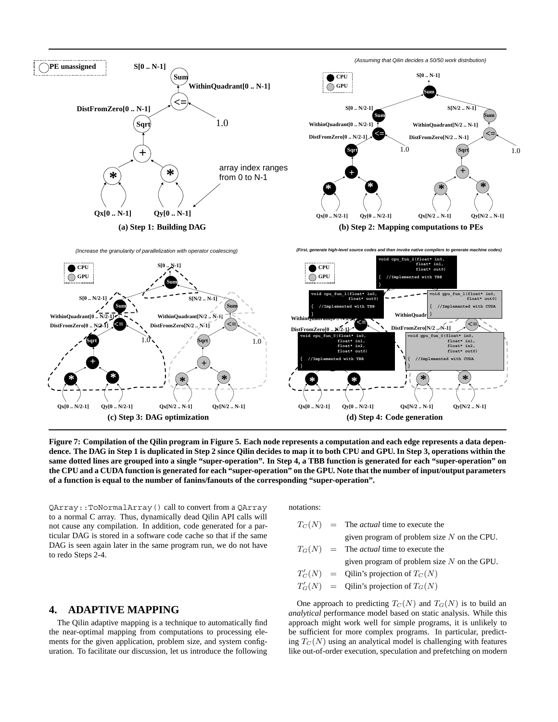

**Figure 7: Compilation of the Qilin program in Figure 5. Each node represents a computation and each edge represents a data dependence. The DAG in Step 1 is duplicated in Step 2 since Qilin decides to map it to both CPU and GPU. In Step 3, operations within the same dotted lines are grouped into a single "super-operation". In Step 4, a TBB function is generated for each "super-operation" on the CPU and a CUDA function is generated for each "super-operation" on the GPU. Note that the number of input/output parameters of a function is equal to the number of fanins/fanouts of the corresponding "super-operation".**

QArray::ToNormalArray() call to convert from a QArray to a normal C array. Thus, dynamically dead Qilin API calls will not cause any compilation. In addition, code generated for a particular DAG is stored in a software code cache so that if the same DAG is seen again later in the same program run, we do not have to redo Steps 2-4.

# **4. ADAPTIVE MAPPING**

The Qilin adaptive mapping is a technique to automatically find the near-optimal mapping from computations to processing elements for the given application, problem size, and system configuration. To facilitate our discussion, let us introduce the following notations:

|  | $T_C(N)$ = The <i>actual</i> time to execute the |
|--|--------------------------------------------------|
|  | given program of problem size $N$ on the CPU.    |
|  | $T_G(N)$ = The <i>actual</i> time to execute the |
|  | given program of problem size $N$ on the GPU.    |
|  | $T'_C(N)$ = Qilin's projection of $T_C(N)$       |
|  | $T'_{G}(N)$ = Qilin's projection of $T_{G}(N)$   |
|  |                                                  |

One approach to predicting  $T_C(N)$  and  $T_G(N)$  is to build an *analytical* performance model based on static analysis. While this approach might work well for simple programs, it is unlikely to be sufficient for more complex programs. In particular, predicting  $T_C(N)$  using an analytical model is challenging with features like out-of-order execution, speculation and prefetching on modern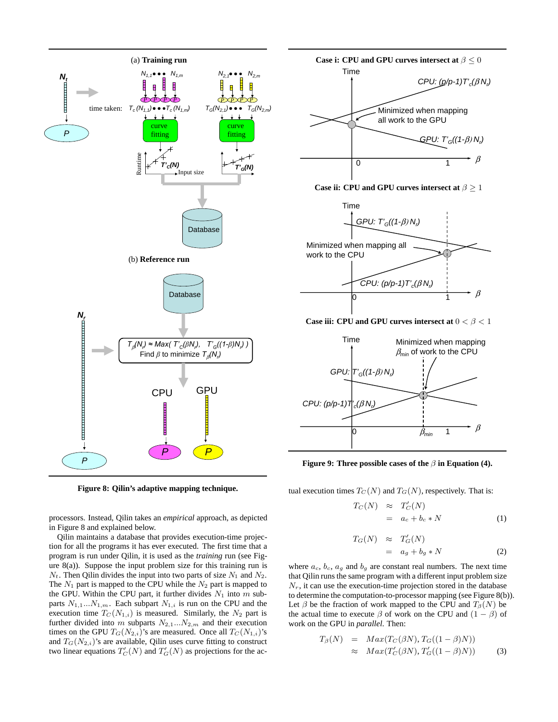

**Figure 8: Qilin's adaptive mapping technique.**

processors. Instead, Qilin takes an *empirical* approach, as depicted in Figure 8 and explained below.

Qilin maintains a database that provides execution-time projection for all the programs it has ever executed. The first time that a program is run under Qilin, it is used as the *training* run (see Figure  $8(a)$ ). Suppose the input problem size for this training run is  $N_t$ . Then Qilin divides the input into two parts of size  $N_1$  and  $N_2$ . The  $N_1$  part is mapped to the CPU while the  $N_2$  part is mapped to the GPU. Within the CPU part, it further divides  $N_1$  into m subparts  $N_{1,1}...N_{1,m}$ . Each subpart  $N_{1,i}$  is run on the CPU and the execution time  $T_c(N_{1,i})$  is measured. Similarly, the  $N_2$  part is further divided into m subparts  $N_{2,1}...N_{2,m}$  and their execution times on the GPU  $T_G(N_{2,i})$ 's are measured. Once all  $T_C(N_{1,i})$ 's and  $T_G(N_{2,i})$ 's are available, Qilin uses curve fitting to construct two linear equations  $T'_C(N)$  and  $T'_G(N)$  as projections for the ac-



**Case ii: CPU and GPU curves intersect at**  $\beta > 1$ 



**Case iii: CPU and GPU curves intersect at**  $0 < \beta < 1$ 



**Figure 9: Three possible cases of the** β **in Equation (4).**

tual execution times  $T_C(N)$  and  $T_G(N)$ , respectively. That is:

$$
T_C(N) \approx T'_C(N)
$$
  
=  $a_c + b_c * N$  (1)

$$
T_G(N) \approx T'_G(N)
$$
  
=  $a_g + b_g * N$  (2)

where  $a_c$ ,  $b_c$ ,  $a_g$  and  $b_g$  are constant real numbers. The next time that Qilin runs the same program with a different input problem size  $N_r$ , it can use the execution-time projection stored in the database to determine the computation-to-processor mapping (see Figure 8(b)). Let  $\beta$  be the fraction of work mapped to the CPU and  $T_\beta(N)$  be the actual time to execute  $\beta$  of work on the CPU and  $(1 - \beta)$  of work on the GPU in *parallel*. Then:

$$
T_{\beta}(N) = Max(T_C(\beta N), T_G((1 - \beta)N))
$$
  
\n
$$
\approx Max(T_C(\beta N), T_G'((1 - \beta)N))
$$
 (3)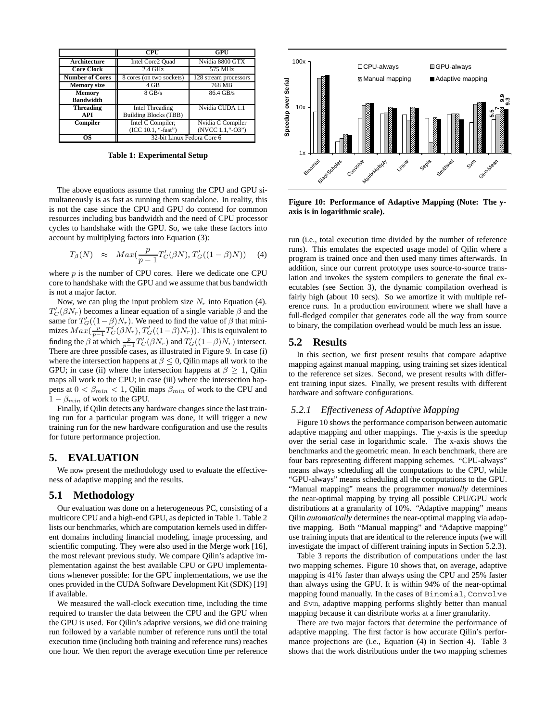|                        | <b>CPU</b>                   | GPU                   |  |  |
|------------------------|------------------------------|-----------------------|--|--|
| <b>Architecture</b>    | Intel Core2 Quad             | Nvidia 8800 GTX       |  |  |
| <b>Core Clock</b>      | $2.4$ GHz                    | 575 MHz               |  |  |
| <b>Number of Cores</b> | 8 cores (on two sockets)     | 128 stream processors |  |  |
| <b>Memory size</b>     | $4$ GB                       | 768 MB                |  |  |
| <b>Memory</b>          | $8$ GB/s                     | 86.4 GB/s             |  |  |
| <b>Bandwidth</b>       |                              |                       |  |  |
| <b>Threading</b>       | Intel Threading              | Nvidia CUDA 1.1       |  |  |
| <b>API</b>             | <b>Building Blocks (TBB)</b> |                       |  |  |
| Compiler               | Intel C Compiler;            | Nvidia C Compiler     |  |  |
|                        | (ICC 10.1, "-fast")          | (NVCC 1.1, "-O3")     |  |  |
| ОS                     | 32-bit Linux Fedora Core 6   |                       |  |  |

**Table 1: Experimental Setup**

The above equations assume that running the CPU and GPU simultaneously is as fast as running them standalone. In reality, this is not the case since the CPU and GPU do contend for common resources including bus bandwidth and the need of CPU processor cycles to handshake with the GPU. So, we take these factors into account by multiplying factors into Equation (3):

$$
T_{\beta}(N) \approx Max(\frac{p}{p-1}T'_{C}(\beta N), T'_{G}((1-\beta)N)) \quad (4)
$$

where  $p$  is the number of CPU cores. Here we dedicate one CPU core to handshake with the GPU and we assume that bus bandwidth is not a major factor.

Now, we can plug the input problem size  $N_r$  into Equation (4).  $T'_{\mathcal{C}}(\beta N_r)$  becomes a linear equation of a single variable  $\beta$  and the same for  $T'_{\mathcal{C}}((1-\beta)N_r)$ . We need to find the value of  $\beta$  that minisame for  $T_G'((1-\beta)N_r)$ . We need to find the value of  $\beta$  that mini-<br>mizes  $M_{G_0}$  ( $P$ ,  $T'$  ( $\beta N$ )  $T'$  ((1,  $\beta N$ )). This is conjugate to mizes  $Max(\frac{p}{p-1}T_C'(\beta N_r), T_G'((1-\beta)N_r))$ . This is equivalent to  $\frac{p}{p-1}T_C'(\beta N_r), T_G'((1-\beta)N_r)$ . finding the  $\beta$  at which  $\frac{p}{p-1}T_C'(\beta N_r)$  and  $T_C'((1-\beta)N_r)$  intersect.<br>There are three possible cases, as illustrated in Figure 9. In case (i) There are three possible cases, as illustrated in Figure 9. In case (i) where the intersection happens at  $\beta \leq 0$ , Qilin maps all work to the GPU; in case (ii) where the intersection happens at  $\beta \geq 1$ , Qilin maps all work to the CPU; in case (iii) where the intersection happens at  $0 < \beta_{min} < 1$ , Qilin maps  $\beta_{min}$  of work to the CPU and  $1 - \beta_{min}$  of work to the GPU.

Finally, if Qilin detects any hardware changes since the last training run for a particular program was done, it will trigger a new training run for the new hardware configuration and use the results for future performance projection.

## **5. EVALUATION**

We now present the methodology used to evaluate the effectiveness of adaptive mapping and the results.

### **5.1 Methodology**

Our evaluation was done on a heterogeneous PC, consisting of a multicore CPU and a high-end GPU, as depicted in Table 1. Table 2 lists our benchmarks, which are computation kernels used in different domains including financial modeling, image processing, and scientific computing. They were also used in the Merge work [16], the most relevant previous study. We compare Qilin's adaptive implementation against the best available CPU or GPU implementations whenever possible: for the GPU implementations, we use the ones provided in the CUDA Software Development Kit (SDK) [19] if available.

We measured the wall-clock execution time, including the time required to transfer the data between the CPU and the GPU when the GPU is used. For Qilin's adaptive versions, we did one training run followed by a variable number of reference runs until the total execution time (including both training and reference runs) reaches one hour. We then report the average execution time per reference



**Figure 10: Performance of Adaptive Mapping (Note: The yaxis is in logarithmic scale).**

run (i.e., total execution time divided by the number of reference runs). This emulates the expected usage model of Qilin where a program is trained once and then used many times afterwards. In addition, since our current prototype uses source-to-source translation and invokes the system compilers to generate the final executables (see Section 3), the dynamic compilation overhead is fairly high (about 10 secs). So we amortize it with multiple reference runs. In a production environment where we shall have a full-fledged compiler that generates code all the way from source to binary, the compilation overhead would be much less an issue.

## **5.2 Results**

In this section, we first present results that compare adaptive mapping against manual mapping, using training set sizes identical to the reference set sizes. Second, we present results with different training input sizes. Finally, we present results with different hardware and software configurations.

## *5.2.1 Effectiveness of Adaptive Mapping*

Figure 10 shows the performance comparison between automatic adaptive mapping and other mappings. The y-axis is the speedup over the serial case in logarithmic scale. The x-axis shows the benchmarks and the geometric mean. In each benchmark, there are four bars representing different mapping schemes. "CPU-always" means always scheduling all the computations to the CPU, while "GPU-always" means scheduling all the computations to the GPU. "Manual mapping" means the programmer *manually* determines the near-optimal mapping by trying all possible CPU/GPU work distributions at a granularity of 10%. "Adaptive mapping" means Qilin *automatically* determines the near-optimal mapping via adaptive mapping. Both "Manual mapping" and "Adaptive mapping" use training inputs that are identical to the reference inputs (we will investigate the impact of different training inputs in Section 5.2.3).

Table 3 reports the distribution of computations under the last two mapping schemes. Figure 10 shows that, on average, adaptive mapping is 41% faster than always using the CPU and 25% faster than always using the GPU. It is within 94% of the near-optimal mapping found manually. In the cases of Binomial, Convolve and Svm, adaptive mapping performs slightly better than manual mapping because it can distribute works at a finer granularity.

There are two major factors that determine the performance of adaptive mapping. The first factor is how accurate Qilin's performance projections are (i.e., Equation (4) in Section 4). Table 3 shows that the work distributions under the two mapping schemes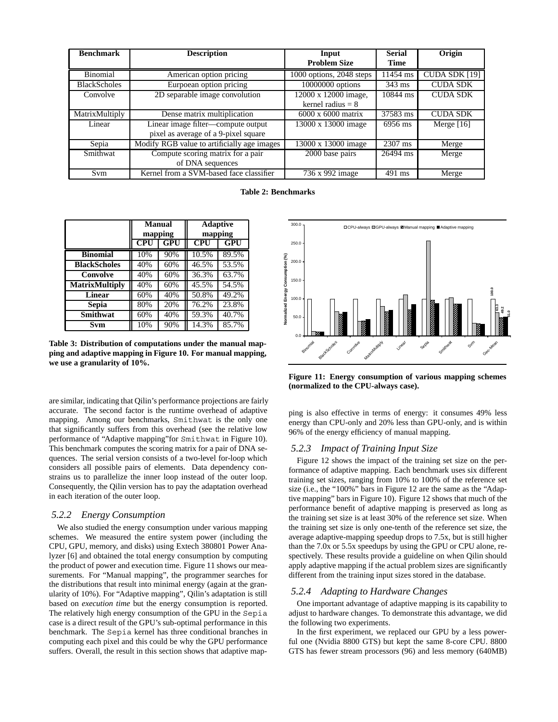| <b>Benchmark</b>    | <b>Description</b>                          | Input                     | <b>Serial</b> | Origin          |
|---------------------|---------------------------------------------|---------------------------|---------------|-----------------|
|                     |                                             | <b>Problem Size</b>       | <b>Time</b>   |                 |
| Binomial            | American option pricing                     | 1000 options, 2048 steps  | 11454 ms      | CUDA SDK [19]   |
| <b>BlackScholes</b> | Eurpoean option pricing                     | 10000000 options          | $343$ ms      | <b>CUDA SDK</b> |
| Convolve            | 2D separable image convolution              | 12000 x 12000 image,      | 10844 ms      | <b>CUDA SDK</b> |
|                     |                                             | kernel radius $= 8$       |               |                 |
| MatrixMultiply      | Dense matrix multiplication                 | $6000 \times 6000$ matrix | 37583 ms      | <b>CUDA SDK</b> |
| Linear              | Linear image filter-compute output          | 13000 x 13000 image       | 6956 ms       | Merge $[16]$    |
|                     | pixel as average of a 9-pixel square        |                           |               |                 |
| Sepia               | Modify RGB value to artificially age images | 13000 x 13000 image       | 2307 ms       | Merge           |
| Smithwat            | Compute scoring matrix for a pair           | 2000 base pairs           | 26494 ms      | Merge           |
|                     | of DNA sequences                            |                           |               |                 |
| Svm                 | Kernel from a SVM-based face classifier     | 736 x 992 image           | $491$ ms      | Merge           |

**Table 2: Benchmarks**

|                       |            | <b>Manual</b><br>mapping | <b>Adaptive</b><br>mapping |       |  |
|-----------------------|------------|--------------------------|----------------------------|-------|--|
|                       | <b>CPU</b> | GPU                      | CPU                        | GPU   |  |
| <b>Binomial</b>       | 10%        | 90%                      | 10.5%                      | 89.5% |  |
| <b>BlackScholes</b>   | 40%        | 60%                      | 46.5%                      | 53.5% |  |
| Convolve              | 40%        | 60%                      | 36.3%                      | 63.7% |  |
| <b>MatrixMultiply</b> | 40%        | 60%                      | 45.5%                      | 54.5% |  |
| Linear                | 60%        | 40%                      | 50.8%                      | 49.2% |  |
| <b>Sepia</b>          | 80%        | 20%                      | 76.2%                      | 23.8% |  |
| <b>Smithwat</b>       | 60%        | 40%                      | 59.3%                      | 40.7% |  |
| Svm                   | 10%        | 90%                      | 14.3%                      | 85.7% |  |

**Table 3: Distribution of computations under the manual mapping and adaptive mapping in Figure 10. For manual mapping, we use a granularity of 10%.**

are similar, indicating that Qilin's performance projections are fairly accurate. The second factor is the runtime overhead of adaptive mapping. Among our benchmarks, Smithwat is the only one that significantly suffers from this overhead (see the relative low performance of "Adaptive mapping"for Smithwat in Figure 10). This benchmark computes the scoring matrix for a pair of DNA sequences. The serial version consists of a two-level for-loop which considers all possible pairs of elements. Data dependency constrains us to parallelize the inner loop instead of the outer loop. Consequently, the Qilin version has to pay the adaptation overhead in each iteration of the outer loop.

#### *5.2.2 Energy Consumption*

We also studied the energy consumption under various mapping schemes. We measured the entire system power (including the CPU, GPU, memory, and disks) using Extech 380801 Power Analyzer [6] and obtained the total energy consumption by computing the product of power and execution time. Figure 11 shows our measurements. For "Manual mapping", the programmer searches for the distributions that result into minimal energy (again at the granularity of 10%). For "Adaptive mapping", Qilin's adaptation is still based on *execution time* but the energy consumption is reported. The relatively high energy consumption of the GPU in the Sepia case is a direct result of the GPU's sub-optimal performance in this benchmark. The Sepia kernel has three conditional branches in computing each pixel and this could be why the GPU performance suffers. Overall, the result in this section shows that adaptive map-



**Figure 11: Energy consumption of various mapping schemes (normalized to the CPU-always case).**

ping is also effective in terms of energy: it consumes 49% less energy than CPU-only and 20% less than GPU-only, and is within 96% of the energy efficiency of manual mapping.

### *5.2.3 Impact of Training Input Size*

Figure 12 shows the impact of the training set size on the performance of adaptive mapping. Each benchmark uses six different training set sizes, ranging from 10% to 100% of the reference set size (i.e., the "100%" bars in Figure 12 are the same as the "Adaptive mapping" bars in Figure 10). Figure 12 shows that much of the performance benefit of adaptive mapping is preserved as long as the training set size is at least 30% of the reference set size. When the training set size is only one-tenth of the reference set size, the average adaptive-mapping speedup drops to 7.5x, but is still higher than the 7.0x or 5.5x speedups by using the GPU or CPU alone, respectively. These results provide a guideline on when Qilin should apply adaptive mapping if the actual problem sizes are significantly different from the training input sizes stored in the database.

#### *5.2.4 Adapting to Hardware Changes*

One important advantage of adaptive mapping is its capability to adjust to hardware changes. To demonstrate this advantage, we did the following two experiments.

In the first experiment, we replaced our GPU by a less powerful one (Nvidia 8800 GTS) but kept the same 8-core CPU. 8800 GTS has fewer stream processors (96) and less memory (640MB)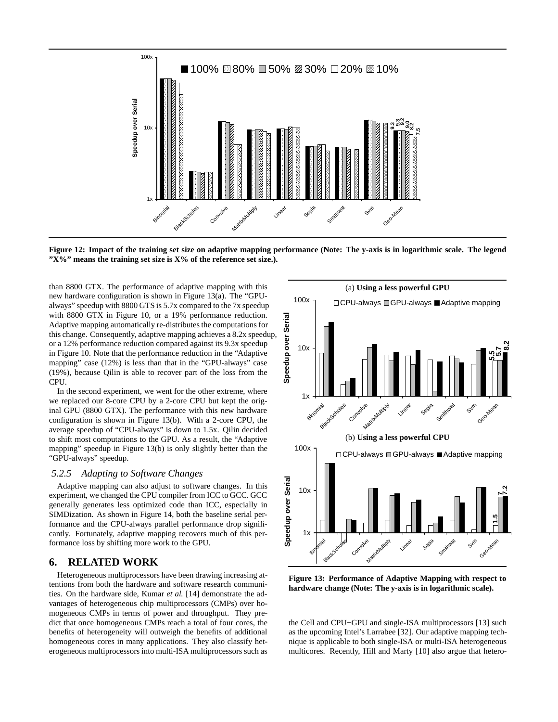

**Figure 12: Impact of the training set size on adaptive mapping performance (Note: The y-axis is in logarithmic scale. The legend "X%" means the training set size is X% of the reference set size.).**

than 8800 GTX. The performance of adaptive mapping with this new hardware configuration is shown in Figure 13(a). The "GPUalways" speedup with 8800 GTS is 5.7x compared to the 7x speedup with 8800 GTX in Figure 10, or a 19% performance reduction. Adaptive mapping automatically re-distributes the computations for this change. Consequently, adaptive mapping achieves a 8.2x speedup, or a 12% performance reduction compared against its 9.3x speedup in Figure 10. Note that the performance reduction in the "Adaptive mapping" case (12%) is less than that in the "GPU-always" case (19%), because Qilin is able to recover part of the loss from the CPU.

In the second experiment, we went for the other extreme, where we replaced our 8-core CPU by a 2-core CPU but kept the original GPU (8800 GTX). The performance with this new hardware configuration is shown in Figure 13(b). With a 2-core CPU, the average speedup of "CPU-always" is down to 1.5x. Qilin decided to shift most computations to the GPU. As a result, the "Adaptive mapping" speedup in Figure 13(b) is only slightly better than the "GPU-always" speedup.

#### *5.2.5 Adapting to Software Changes*

Adaptive mapping can also adjust to software changes. In this experiment, we changed the CPU compiler from ICC to GCC. GCC generally generates less optimized code than ICC, especially in SIMDization. As shown in Figure 14, both the baseline serial performance and the CPU-always parallel performance drop significantly. Fortunately, adaptive mapping recovers much of this performance loss by shifting more work to the GPU.

#### **6. RELATED WORK**

Heterogeneous multiprocessors have been drawing increasing attentions from both the hardware and software research communities. On the hardware side, Kumar *et al.* [14] demonstrate the advantages of heterogeneous chip multiprocessors (CMPs) over homogeneous CMPs in terms of power and throughput. They predict that once homogeneous CMPs reach a total of four cores, the benefits of heterogeneity will outweigh the benefits of additional homogeneous cores in many applications. They also classify heterogeneous multiprocessors into multi-ISA multiprocessors such as



**Figure 13: Performance of Adaptive Mapping with respect to hardware change (Note: The y-axis is in logarithmic scale).**

the Cell and CPU+GPU and single-ISA multiprocessors [13] such as the upcoming Intel's Larrabee [32]. Our adaptive mapping technique is applicable to both single-ISA or multi-ISA heterogeneous multicores. Recently, Hill and Marty [10] also argue that hetero-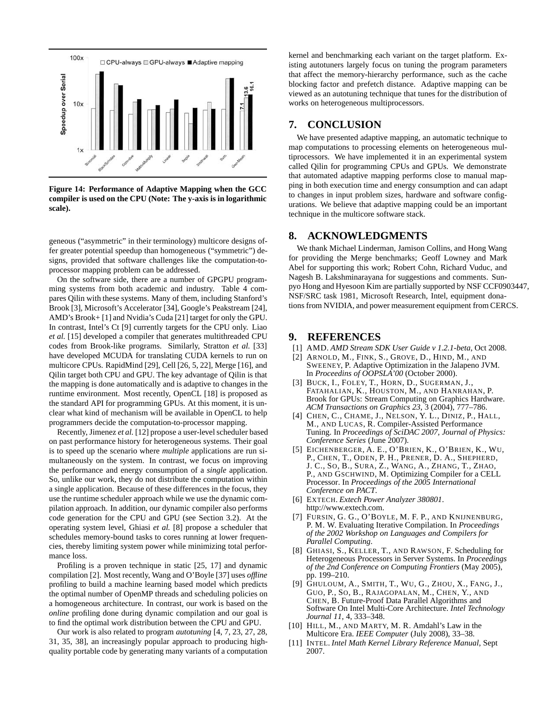

**Figure 14: Performance of Adaptive Mapping when the GCC compiler is used on the CPU (Note: The y-axis is in logarithmic scale).**

geneous ("asymmetric" in their terminology) multicore designs offer greater potential speedup than homogeneous ("symmetric") designs, provided that software challenges like the computation-toprocessor mapping problem can be addressed.

On the software side, there are a number of GPGPU programming systems from both academic and industry. Table 4 compares Qilin with these systems. Many of them, including Stanford's Brook [3], Microsoft's Accelerator [34], Google's Peakstream [24], AMD's Brook+ [1] and Nvidia's Cuda [21] target for only the GPU. In contrast, Intel's Ct [9] currently targets for the CPU only. Liao *et al.* [15] developed a compiler that generates multithreaded CPU codes from Brook-like programs. Similarly, Stratton *et al.* [33] have developed MCUDA for translating CUDA kernels to run on multicore CPUs. RapidMind [29], Cell [26, 5, 22], Merge [16], and Qilin target both CPU and GPU. The key advantage of Qilin is that the mapping is done automatically and is adaptive to changes in the runtime environment. Most recently, OpenCL [18] is proposed as the standard API for programming GPUs. At this moment, it is unclear what kind of mechanism will be available in OpenCL to help programmers decide the computation-to-processor mapping.

Recently, Jimenez *et al.* [12] propose a user-level scheduler based on past performance history for heterogeneous systems. Their goal is to speed up the scenario where *multiple* applications are run simultaneously on the system. In contrast, we focus on improving the performance and energy consumption of a *single* application. So, unlike our work, they do not distribute the computation within a single application. Because of these differences in the focus, they use the runtime scheduler approach while we use the dynamic compilation approach. In addition, our dynamic compiler also performs code generation for the CPU and GPU (see Section 3.2). At the operating system level, Ghiasi *et al.* [8] propose a scheduler that schedules memory-bound tasks to cores running at lower frequencies, thereby limiting system power while minimizing total performance loss.

Profiling is a proven technique in static [25, 17] and dynamic compilation [2]. Most recently, Wang and O'Boyle [37] uses *offline* profiling to build a machine learning based model which predicts the optimal number of OpenMP threads and scheduling policies on a homogeneous architecture. In contrast, our work is based on the *online* profiling done during dynamic compilation and our goal is to find the optimal work distribution between the CPU and GPU.

Our work is also related to program *autotuning* [4, 7, 23, 27, 28, 31, 35, 38], an increasingly popular approach to producing highquality portable code by generating many variants of a computation kernel and benchmarking each variant on the target platform. Existing autotuners largely focus on tuning the program parameters that affect the memory-hierarchy performance, such as the cache blocking factor and prefetch distance. Adaptive mapping can be viewed as an autotuning technique that tunes for the distribution of works on heterogeneous multiprocessors.

# **7. CONCLUSION**

We have presented adaptive mapping, an automatic technique to map computations to processing elements on heterogeneous multiprocessors. We have implemented it in an experimental system called Qilin for programming CPUs and GPUs. We demonstrate that automated adaptive mapping performs close to manual mapping in both execution time and energy consumption and can adapt to changes in input problem sizes, hardware and software configurations. We believe that adaptive mapping could be an important technique in the multicore software stack.

## **8. ACKNOWLEDGMENTS**

We thank Michael Linderman, Jamison Collins, and Hong Wang for providing the Merge benchmarks; Geoff Lowney and Mark Abel for supporting this work; Robert Cohn, Richard Vuduc, and Nagesh B. Lakshminarayana for suggestions and comments. Sunpyo Hong and Hyesoon Kim are partially supported by NSF CCF0903447, NSF/SRC task 1981, Microsoft Research, Intel, equipment donations from NVIDIA, and power measurement equipment from CERCS.

## **9. REFERENCES**

- [1] AMD. *AMD Stream SDK User Guide v 1.2.1-beta*, Oct 2008.
- [2] ARNOLD, M., FINK, S., GROVE, D., HIND, M., AND SWEENEY, P. Adaptive Optimization in the Jalapeno JVM. In *Proceedins of OOPSLA'00* (October 2000).
- [3] BUCK, I., FOLEY, T., HORN, D., SUGERMAN, J., FATAHALIAN, K., HOUSTON, M., AND HANRAHAN, P. Brook for GPUs: Stream Computing on Graphics Hardware. *ACM Transactions on Graphics 23*, 3 (2004), 777–786.
- [4] CHEN, C., CHAME, J., NELSON, Y. L., DINIZ, P., HALL, M., AND LUCAS, R. Compiler-Assisted Performance Tuning. In *Proceedings of SciDAC 2007, Journal of Physics: Conference Series* (June 2007).
- [5] EICHENBERGER, A. E., O'BRIEN, K., O'BRIEN, K., WU, P., CHEN, T., ODEN, P. H., PRENER, D. A., SHEPHERD, J. C., SO, B., SURA, Z., WANG, A., ZHANG, T., ZHAO, P., AND GSCHWIND, M. Optimizing Compiler for a CELL Processor. In *Proceedings of the 2005 International Conference on PACT*.
- [6] EXTECH. *Extech Power Analyzer 380801*. http://www.extech.com.
- [7] FURSIN, G. G., O'BOYLE, M. F. P., AND KNIJNENBURG, P. M. W. Evaluating Iterative Compilation. In *Proceedings of the 2002 Workshop on Languages and Compilers for Parallel Computing*.
- [8] GHIASI, S., KELLER, T., AND RAWSON, F. Scheduling for Heterogeneous Processors in Server Systems. In *Proceedings of the 2nd Conference on Computing Frontiers* (May 2005), pp. 199–210.
- [9] GHULOUM, A., SMITH, T., WU, G., ZHOU, X., FANG, J., GUO, P., SO, B., RAJAGOPALAN, M., CHEN, Y., AND CHEN, B. Future-Proof Data Parallel Algorithms and Software On Intel Multi-Core Architecture. *Intel Technology Journal 11*, 4, 333–348.
- [10] HILL, M., AND MARTY, M. R. Amdahl's Law in the Multicore Era. *IEEE Computer* (July 2008), 33–38.
- [11] INTEL. *Intel Math Kernel Library Reference Manual*, Sept 2007.